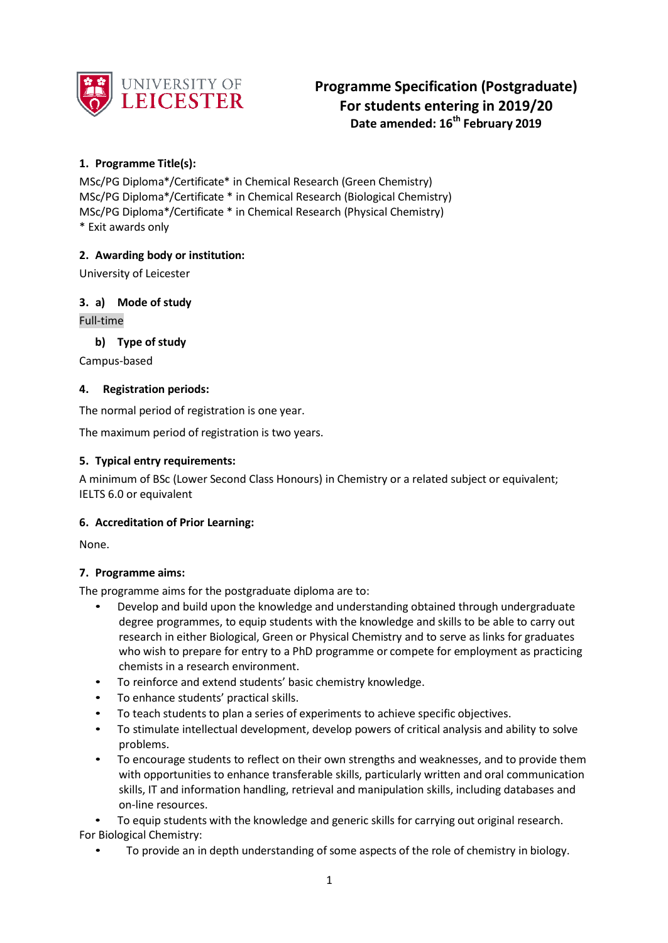

# **Programme Specification (Postgraduate) For students entering in 2019/20 Date amended: 16th February 2019**

# **1. Programme Title(s):**

MSc/PG Diploma\*/Certificate\* in Chemical Research (Green Chemistry) MSc/PG Diploma\*/Certificate \* in Chemical Research (Biological Chemistry) MSc/PG Diploma\*/Certificate \* in Chemical Research (Physical Chemistry) \* Exit awards only

# **2. Awarding body or institution:**

University of Leicester

**3. a) Mode of study** Full-time

**b) Type of study**

Campus-based

#### **4. Registration periods:**

The normal period of registration is one year.

The maximum period of registration is two years.

#### **5. Typical entry requirements:**

A minimum of BSc (Lower Second Class Honours) in Chemistry or a related subject or equivalent; IELTS 6.0 or equivalent

# **6. Accreditation of Prior Learning:**

None.

# **7. Programme aims:**

The programme aims for the postgraduate diploma are to:

- Develop and build upon the knowledge and understanding obtained through undergraduate degree programmes, to equip students with the knowledge and skills to be able to carry out research in either Biological, Green or Physical Chemistry and to serve as links for graduates who wish to prepare for entry to a PhD programme or compete for employment as practicing chemists in a research environment.
- To reinforce and extend students' basic chemistry knowledge.
- To enhance students' practical skills.
- To teach students to plan a series of experiments to achieve specific objectives.
- To stimulate intellectual development, develop powers of critical analysis and ability to solve problems.
- To encourage students to reflect on their own strengths and weaknesses, and to provide them with opportunities to enhance transferable skills, particularly written and oral communication skills, IT and information handling, retrieval and manipulation skills, including databases and on-line resources.

• To equip students with the knowledge and generic skills for carrying out original research. For Biological Chemistry:

• To provide an in depth understanding of some aspects of the role of chemistry in biology.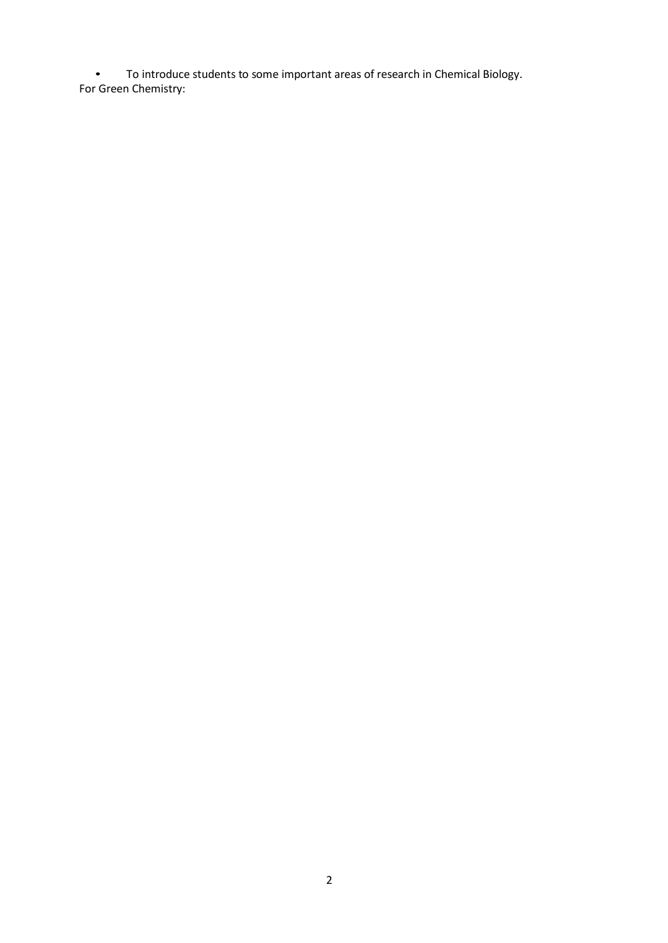• To introduce students to some important areas of research in Chemical Biology. For Green Chemistry: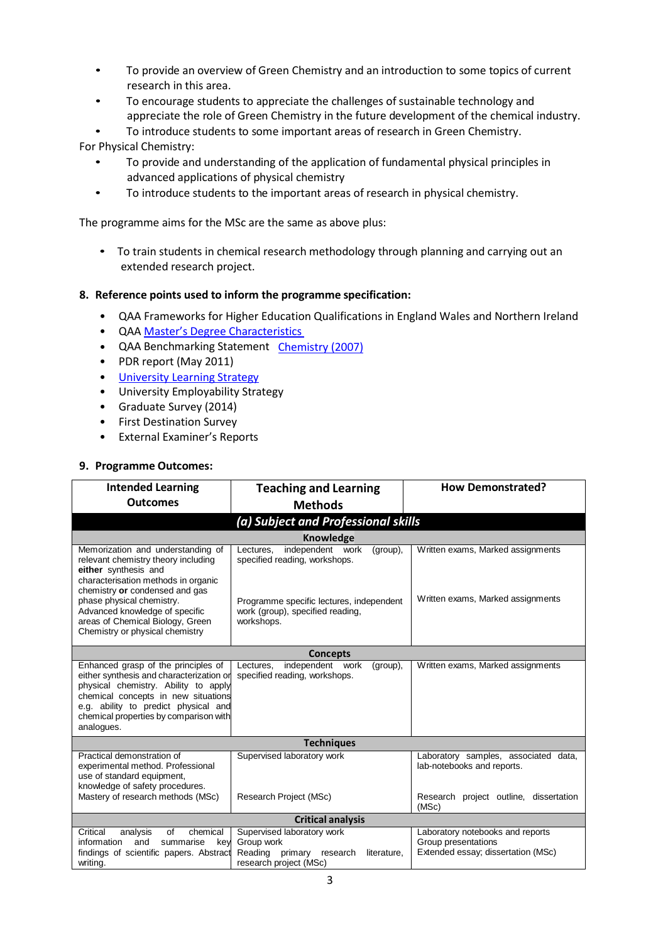- To provide an overview of Green Chemistry and an introduction to some topics of current research in this area.
- To encourage students to appreciate the challenges of sustainable technology and appreciate the role of Green Chemistry in the future development of the chemical industry.
- To introduce students to some important areas of research in Green Chemistry.

For Physical Chemistry:

- To provide and understanding of the application of fundamental physical principles in advanced applications of physical chemistry
- To introduce students to the important areas of research in physical chemistry.

The programme aims for the MSc are the same as above plus:

• To train students in chemical research methodology through planning and carrying out an extended research project.

#### **8. Reference points used to inform the programme specification:**

- QAA Frameworks for Higher Education Qualifications in England Wales and Northern Ireland
- QAA Master's Degree [Characteristics](http://www.qaa.ac.uk/en/Publications/Documents/Masters-Degree-Characteristics-2010.pdf)
- QAA Benchmarking Statement [Chemistry](http://www.qaa.ac.uk/en/Publications/Documents/Subject-benchmark-statement-Chemistry-2007.pdfhttp%3A/www.qaa.ac.uk/en/Publications/Documents/Subject-benchmark-statement-Chemistry-2007.pdf) (2007)
- PDR report (May 2011)
- University [Learning Strategy](http://www2.le.ac.uk/offices/sas2/quality/learnteach)
- University Employability Strategy
- Graduate Survey (2014)
- First Destination Survey
- External Examiner's Reports

#### **9. Programme Outcomes:**

| <b>Intended Learning</b><br><b>Outcomes</b>                                                                                                                                                                                                                                                                     | <b>Teaching and Learning</b>                                                                                                                                             | <b>How Demonstrated?</b>                                                                      |  |  |  |  |
|-----------------------------------------------------------------------------------------------------------------------------------------------------------------------------------------------------------------------------------------------------------------------------------------------------------------|--------------------------------------------------------------------------------------------------------------------------------------------------------------------------|-----------------------------------------------------------------------------------------------|--|--|--|--|
|                                                                                                                                                                                                                                                                                                                 | <b>Methods</b>                                                                                                                                                           |                                                                                               |  |  |  |  |
| (a) Subject and Professional skills                                                                                                                                                                                                                                                                             |                                                                                                                                                                          |                                                                                               |  |  |  |  |
| <b>Knowledge</b>                                                                                                                                                                                                                                                                                                |                                                                                                                                                                          |                                                                                               |  |  |  |  |
| Memorization and understanding of<br>relevant chemistry theory including<br>either synthesis and<br>characterisation methods in organic<br>chemistry or condensed and gas<br>phase physical chemistry.<br>Advanced knowledge of specific<br>areas of Chemical Biology, Green<br>Chemistry or physical chemistry | independent work<br>Lectures.<br>(group),<br>specified reading, workshops.<br>Programme specific lectures, independent<br>work (group), specified reading,<br>workshops. | Written exams, Marked assignments<br>Written exams, Marked assignments                        |  |  |  |  |
|                                                                                                                                                                                                                                                                                                                 | <b>Concepts</b>                                                                                                                                                          |                                                                                               |  |  |  |  |
| Enhanced grasp of the principles of<br>either synthesis and characterization or<br>physical chemistry. Ability to apply<br>chemical concepts in new situations<br>e.g. ability to predict physical and<br>chemical properties by comparison with<br>analogues.                                                  | independent work<br>Lectures,<br>(group),<br>specified reading, workshops.                                                                                               | Written exams, Marked assignments                                                             |  |  |  |  |
|                                                                                                                                                                                                                                                                                                                 | <b>Techniques</b>                                                                                                                                                        |                                                                                               |  |  |  |  |
| Practical demonstration of<br>experimental method. Professional<br>use of standard equipment,<br>knowledge of safety procedures.                                                                                                                                                                                | Supervised laboratory work                                                                                                                                               | Laboratory samples, associated data,<br>lab-notebooks and reports.                            |  |  |  |  |
| Mastery of research methods (MSc)                                                                                                                                                                                                                                                                               | Research Project (MSc)                                                                                                                                                   | Research project outline, dissertation<br>(MSc)                                               |  |  |  |  |
| <b>Critical analysis</b>                                                                                                                                                                                                                                                                                        |                                                                                                                                                                          |                                                                                               |  |  |  |  |
| Critical<br>analysis<br>of<br>chemical<br>information<br>and<br>summarise<br>key<br>findings of scientific papers. Abstract<br>writing.                                                                                                                                                                         | Supervised laboratory work<br>Group work<br>Reading<br>primary<br>research<br>literature,<br>research project (MSc)                                                      | Laboratory notebooks and reports<br>Group presentations<br>Extended essay; dissertation (MSc) |  |  |  |  |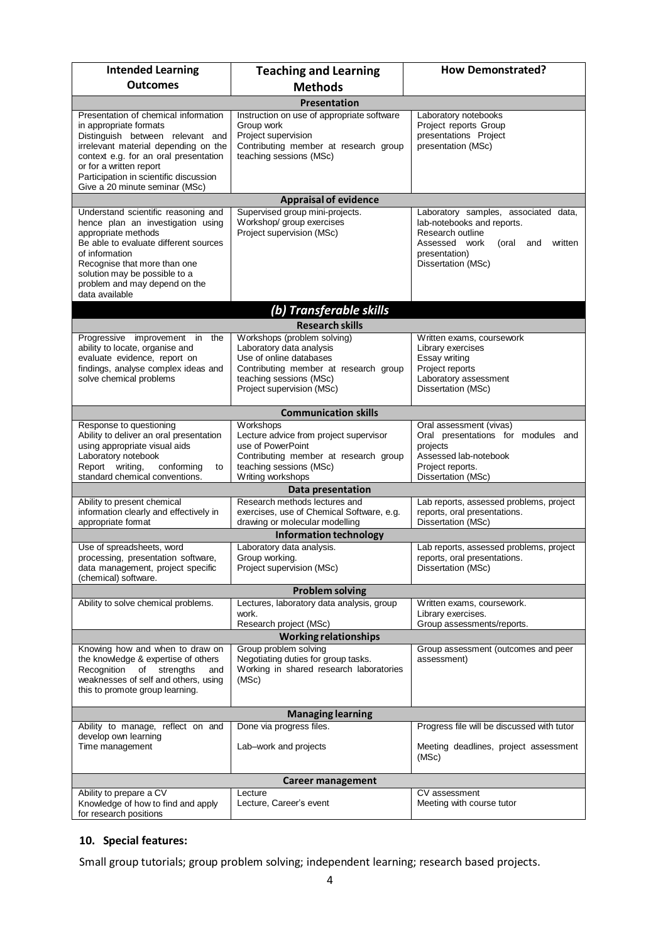| <b>Intended Learning</b>                                                                                                                                                                                                                                                                   | <b>Teaching and Learning</b>                                                                                                                                                        | <b>How Demonstrated?</b>                                                                                                                                                  |  |  |  |  |
|--------------------------------------------------------------------------------------------------------------------------------------------------------------------------------------------------------------------------------------------------------------------------------------------|-------------------------------------------------------------------------------------------------------------------------------------------------------------------------------------|---------------------------------------------------------------------------------------------------------------------------------------------------------------------------|--|--|--|--|
| <b>Outcomes</b>                                                                                                                                                                                                                                                                            | <b>Methods</b>                                                                                                                                                                      |                                                                                                                                                                           |  |  |  |  |
| Presentation                                                                                                                                                                                                                                                                               |                                                                                                                                                                                     |                                                                                                                                                                           |  |  |  |  |
| Presentation of chemical information<br>in appropriate formats<br>Distinguish between relevant and<br>irrelevant material depending on the<br>context e.g. for an oral presentation<br>or for a written report<br>Participation in scientific discussion<br>Give a 20 minute seminar (MSc) | Instruction on use of appropriate software<br>Group work<br>Project supervision<br>Contributing member at research group<br>teaching sessions (MSc)                                 | Laboratory notebooks<br>Project reports Group<br>presentations Project<br>presentation (MSc)                                                                              |  |  |  |  |
|                                                                                                                                                                                                                                                                                            | <b>Appraisal of evidence</b>                                                                                                                                                        |                                                                                                                                                                           |  |  |  |  |
| Understand scientific reasoning and<br>hence plan an investigation using<br>appropriate methods<br>Be able to evaluate different sources<br>of information<br>Recognise that more than one<br>solution may be possible to a<br>problem and may depend on the<br>data available             | Supervised group mini-projects.<br>Workshop/ group exercises<br>Project supervision (MSc)                                                                                           | Laboratory samples, associated data,<br>lab-notebooks and reports.<br>Research outline<br>Assessed work<br>written<br>(oral<br>and<br>presentation)<br>Dissertation (MSc) |  |  |  |  |
|                                                                                                                                                                                                                                                                                            | (b) Transferable skills                                                                                                                                                             |                                                                                                                                                                           |  |  |  |  |
|                                                                                                                                                                                                                                                                                            | <b>Research skills</b>                                                                                                                                                              |                                                                                                                                                                           |  |  |  |  |
| Progressive improvement in the<br>ability to locate, organise and<br>evaluate evidence, report on<br>findings, analyse complex ideas and<br>solve chemical problems                                                                                                                        | Workshops (problem solving)<br>Laboratory data analysis<br>Use of online databases<br>Contributing member at research group<br>teaching sessions (MSc)<br>Project supervision (MSc) | Written exams, coursework<br>Library exercises<br>Essay writing<br>Project reports<br>Laboratory assessment<br>Dissertation (MSc)                                         |  |  |  |  |
|                                                                                                                                                                                                                                                                                            | <b>Communication skills</b>                                                                                                                                                         |                                                                                                                                                                           |  |  |  |  |
| Response to questioning<br>Ability to deliver an oral presentation<br>using appropriate visual aids<br>Laboratory notebook<br>Report writing,<br>conforming<br>to<br>standard chemical conventions.                                                                                        | Workshops<br>Lecture advice from project supervisor<br>use of PowerPoint<br>Contributing member at research group<br>teaching sessions (MSc)<br>Writing workshops                   | Oral assessment (vivas)<br>Oral presentations for modules and<br>projects<br>Assessed lab-notebook<br>Project reports.<br>Dissertation (MSc)                              |  |  |  |  |
|                                                                                                                                                                                                                                                                                            | Data presentation                                                                                                                                                                   |                                                                                                                                                                           |  |  |  |  |
| Ability to present chemical<br>information clearly and effectively in<br>appropriate format                                                                                                                                                                                                | Research methods lectures and<br>exercises, use of Chemical Software, e.g.<br>drawing or molecular modelling                                                                        | Lab reports, assessed problems, project<br>reports, oral presentations.<br>Dissertation (MSc)                                                                             |  |  |  |  |
|                                                                                                                                                                                                                                                                                            | <b>Information technology</b>                                                                                                                                                       |                                                                                                                                                                           |  |  |  |  |
| Use of spreadsheets, word<br>processing, presentation software,<br>data management, project specific<br>(chemical) software.                                                                                                                                                               | Laboratory data analysis.<br>Group working.<br>Project supervision (MSc)                                                                                                            | Lab reports, assessed problems, project<br>reports, oral presentations.<br>Dissertation (MSc)                                                                             |  |  |  |  |
|                                                                                                                                                                                                                                                                                            | <b>Problem solving</b>                                                                                                                                                              |                                                                                                                                                                           |  |  |  |  |
| Ability to solve chemical problems.                                                                                                                                                                                                                                                        | Lectures, laboratory data analysis, group<br>work.<br>Research project (MSc)                                                                                                        | Written exams, coursework.<br>Library exercises.<br>Group assessments/reports.                                                                                            |  |  |  |  |
| Knowing how and when to draw on                                                                                                                                                                                                                                                            | <b>Working relationships</b><br>Group problem solving                                                                                                                               | Group assessment (outcomes and peer                                                                                                                                       |  |  |  |  |
| the knowledge & expertise of others<br>Recognition<br>of<br>strengths<br>and<br>weaknesses of self and others, using<br>this to promote group learning.                                                                                                                                    | Negotiating duties for group tasks.<br>Working in shared research laboratories<br>(MSc)                                                                                             | assessment)                                                                                                                                                               |  |  |  |  |
| <b>Managing learning</b>                                                                                                                                                                                                                                                                   |                                                                                                                                                                                     |                                                                                                                                                                           |  |  |  |  |
| Ability to manage, reflect on and<br>develop own learning<br>Time management                                                                                                                                                                                                               | Done via progress files.<br>Lab-work and projects                                                                                                                                   | Progress file will be discussed with tutor<br>Meeting deadlines, project assessment<br>(MSc)                                                                              |  |  |  |  |
| <b>Career management</b>                                                                                                                                                                                                                                                                   |                                                                                                                                                                                     |                                                                                                                                                                           |  |  |  |  |
| Ability to prepare a CV<br>Knowledge of how to find and apply<br>for research positions                                                                                                                                                                                                    | Lecture<br>Lecture, Career's event                                                                                                                                                  | CV assessment<br>Meeting with course tutor                                                                                                                                |  |  |  |  |

# **10. Special features:**

Small group tutorials; group problem solving; independent learning; research based projects.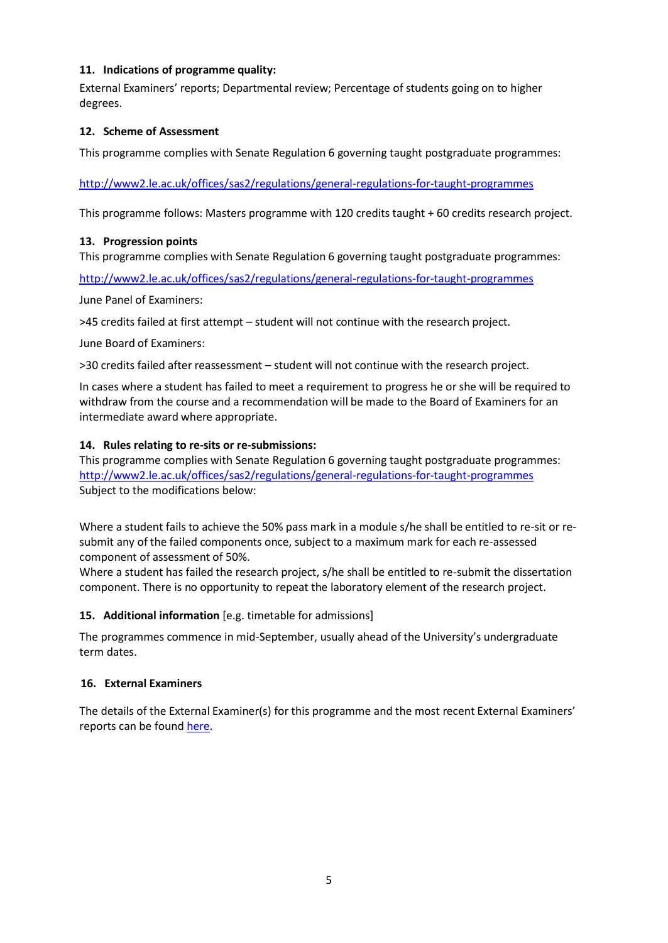#### **11. Indications of programme quality:**

External Examiners' reports; Departmental review; Percentage of students going on to higher degrees.

#### **12. Scheme of Assessment**

This programme complies with Senate Regulation 6 governing taught postgraduate programmes:

#### <http://www2.le.ac.uk/offices/sas2/regulations/general-regulations-for-taught-programmes>

This programme follows: Masters programme with 120 credits taught + 60 credits research project.

#### **13. Progression points**

This programme complies with Senate Regulation 6 governing taught postgraduate programmes:

<http://www2.le.ac.uk/offices/sas2/regulations/general-regulations-for-taught-programmes>

June Panel of Examiners:

>45 credits failed at first attempt – student will not continue with the research project.

June Board of Examiners:

>30 credits failed after reassessment – student will not continue with the research project.

In cases where a student has failed to meet a requirement to progress he or she will be required to withdraw from the course and a recommendation will be made to the Board of Examiners for an intermediate award where appropriate.

#### **14. Rules relating to re-sits or re-submissions:**

This programme complies with Senate Regulation 6 governing taught postgraduate programmes: <http://www2.le.ac.uk/offices/sas2/regulations/general-regulations-for-taught-programmes> Subject to the modifications below:

Where a student fails to achieve the 50% pass mark in a module s/he shall be entitled to re-sit or resubmit any of the failed components once, subject to a maximum mark for each re-assessed component of assessment of 50%.

Where a student has failed the research project, s/he shall be entitled to re-submit the dissertation component. There is no opportunity to repeat the laboratory element of the research project.

# **15. Additional information** [e.g. timetable for admissions]

The programmes commence in mid-September, usually ahead of the University's undergraduate term dates.

# **16. External Examiners**

The details of the External Examiner(s) for this programme and the most recent External Examiners' reports can be found [here.](https://exampapers.le.ac.uk/xmlui/handle/123456789/209)